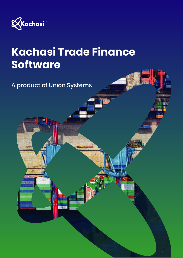

# **Kachasi Trade Finance Software**

A product of Union Systems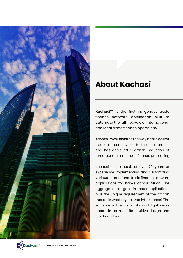

## **About Kachasi**

**Kachasi™** is the first indigenous trade finance software application built to automate the full lifecycle of international and local trade finance operations.

Kachasi revolutionizes the way banks deliver trade finance services to their customers; and has achieved a drastic reduction of turnaround time in trade finance processing.

Kachasi is the result of over 20 years of experience implementing and customizing various international trade finance software applications for banks across Africa. The aggregation of gaps in these applications plus the unique requirement of the African market is what crystallized into Kachasi. The software is the first of its kind, light years ahead in terms of its intuitive design and functionalities.

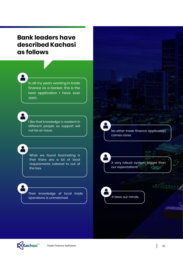#### **Bank leaders have described Kachasi as follows**

In all my years working in trade finance as a banker, this is the best application I have ever seen.

I like that knowledge is resident in different people so support will<br>not be an issue.

What we found fascinating is that there are a lot of local requirements catered to out of the box.

Their knowledge of local trade operations is unmatched.

No other trade finance application comes close.

A very robust system, bigger than our expectations.



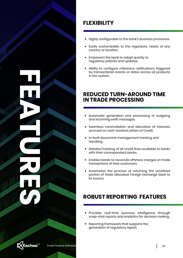**FEATURES**

**FLEXIBILITY**

- Highly configurable to the bank's business processes.
- Easily customizable to the regulatory needs of any country or location.
- Empowers the bank to adapt quickly to  $\bullet$ regulatory policies and updates.
- Ability to configure milestone notifications triggered by transactional events or dates across all products in the system.

#### **REDUCED TURN-AROUND TIME IN TRADE PROCESSING**

- Automatic generation and processing of outgoing and incoming swift messages.
- Seamless reconciliation and allocation of interests accrued on cash-backed Letters of Credit.
- In-built document management tracking and handling.
- Detailed tracking of all credit lines available to banks  $\bullet$ with their correspondent banks.
- Enables banks to reconcile offshore charges on trade transactions of their customers.
- Automates the process of returning the unutilized portion of trade allocated Foreign Exchange back to its source.

### **ROBUST REPORTING FEATURES**

- Provides real-time business intelligence through snap-shot reports and analytics for decision making.
- Reporting framework that supports the generation of regulatory report.

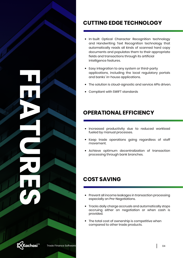**FEATURES**



#### **CUTTING EDGE TECHNOLOGY**

- In-built Optical Character Recognition technology and Handwriting Text Recognition technology that automatically reads all kinds of scanned hard copy documents and populates them to their appropriate fields and transactions through its artificial intelligence features.
- Easy integration to any system or third-party applications, including the local regulatory portals and banks' in-house applications.
- The solution is cloud-agnostic and service APIs driven.
- Compliant with SWIFT standards

#### **OPERATIONAL EFFICIENCY**

- Increased productivity due to reduced workload fueled by manual processes.
- Keep trade operations going regardless of staff movement.
- Achieve optimum decentralization of transaction processing through bank branches.

#### **COST SAVING**

- Prevent all income leakages in transaction processing especially on Pre-Negotiations.
- Tracks daily charge accruals and automatically stops accruing either on negotiation or when cash is provided.
- The total cost of ownership is competitive when compared to other trade products.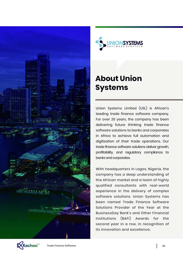



# **About Union Systems**

Union Systems Limited (USL) is African's leading trade finance software company. For over 20 years, the company has been delivering future thinking trade finance software solutions to banks and corporates in Africa to achieve full automation and digitization of their trade operations. Our trade finance software solutions deliver growth, profitability, and regulatory compliance to banks and corporates.

With headquarters in Lagos, Nigeria, the company has a deep understanding of the African market and a team of highly qualified consultants with real-world experience in the delivery of complex software solutions. Union Systems has been named Trade Finance Software Solutions Provider of the Year at the BusinessDay Bank's and Other Financial Institutions (BAFI) Awards for the second year in a row, in recognition of its innovation and excellence.